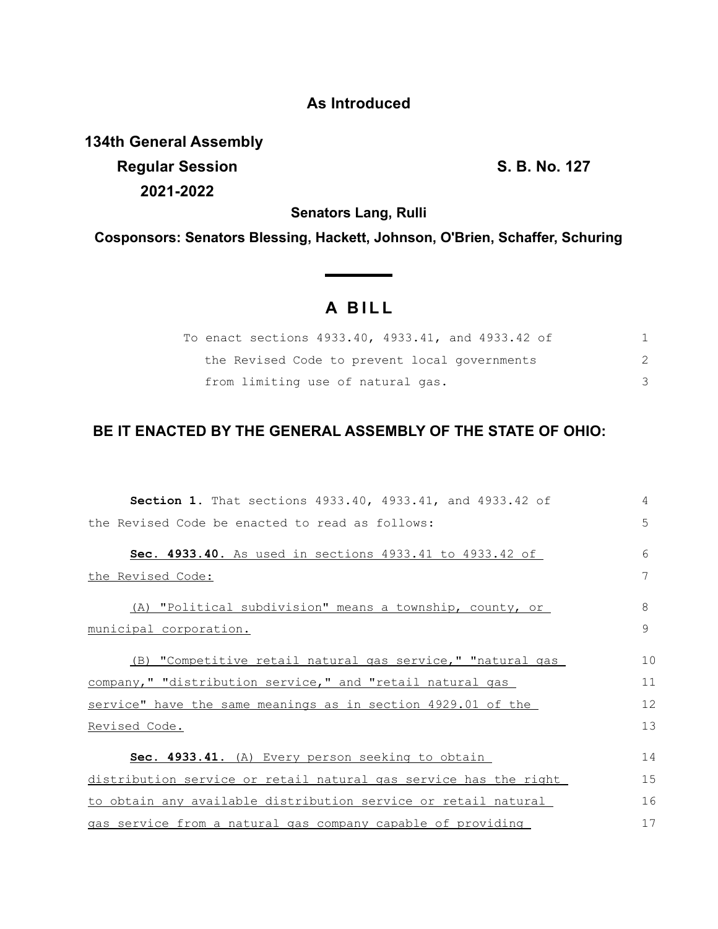## **As Introduced**

**134th General Assembly Regular Session S. B. No. 127 2021-2022**

**Senators Lang, Rulli**

**Cosponsors: Senators Blessing, Hackett, Johnson, O'Brien, Schaffer, Schuring**

## **A B I L L**

| To enact sections 4933.40, 4933.41, and 4933.42 of |  |
|----------------------------------------------------|--|
| the Revised Code to prevent local governments      |  |
| from limiting use of natural gas.                  |  |

## **BE IT ENACTED BY THE GENERAL ASSEMBLY OF THE STATE OF OHIO:**

| Section 1. That sections 4933.40, 4933.41, and 4933.42 of        | 4  |
|------------------------------------------------------------------|----|
| the Revised Code be enacted to read as follows:                  | 5  |
| Sec. 4933.40. As used in sections 4933.41 to 4933.42 of          | 6  |
| the Revised Code:                                                | 7  |
| (A) "Political subdivision" means a township, county, or         | 8  |
| <u>municipal corporation.</u>                                    | 9  |
| (B) "Competitive retail natural gas service," "natural gas       | 10 |
| company," "distribution service," and "retail natural gas        | 11 |
| service" have the same meanings as in section 4929.01 of the     | 12 |
| Revised Code.                                                    | 13 |
| Sec. 4933.41. (A) Every person seeking to obtain                 | 14 |
| distribution service or retail natural gas service has the right | 15 |
| to obtain any available distribution service or retail natural   | 16 |
| gas service from a natural gas company capable of providing      | 17 |